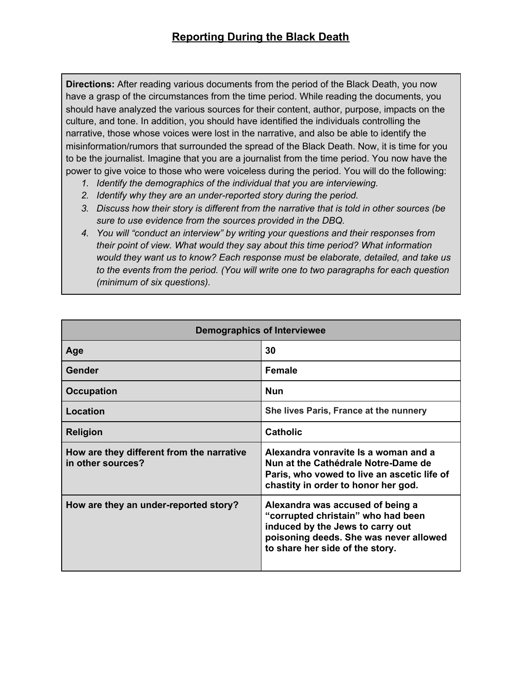**Directions:** After reading various documents from the period of the Black Death, you now have a grasp of the circumstances from the time period. While reading the documents, you should have analyzed the various sources for their content, author, purpose, impacts on the culture, and tone. In addition, you should have identified the individuals controlling the narrative, those whose voices were lost in the narrative, and also be able to identify the misinformation/rumors that surrounded the spread of the Black Death. Now, it is time for you to be the journalist. Imagine that you are a journalist from the time period. You now have the power to give voice to those who were voiceless during the period. You will do the following:

- *1. Identify the demographics of the individual that you are interviewing.*
- *2. Identify why they are an under-reported story during the period.*
- *3. Discuss how their story is different from the narrative that is told in other sources (be sure to use evidence from the sources provided in the DBQ.*
- *4. You will "conduct an interview" by writing your questions and their responses from their point of view. What would they say about this time period? What information would they want us to know? Each response must be elaborate, detailed, and take us to the events from the period. (You will write one to two paragraphs for each question (minimum of six questions).*

| <b>Demographics of Interviewee</b>                             |                                                                                                                                                                                         |
|----------------------------------------------------------------|-----------------------------------------------------------------------------------------------------------------------------------------------------------------------------------------|
| Age                                                            | 30                                                                                                                                                                                      |
| Gender                                                         | <b>Female</b>                                                                                                                                                                           |
| <b>Occupation</b>                                              | <b>Nun</b>                                                                                                                                                                              |
| Location                                                       | She lives Paris, France at the nunnery                                                                                                                                                  |
| <b>Religion</b>                                                | <b>Catholic</b>                                                                                                                                                                         |
| How are they different from the narrative<br>in other sources? | Alexandra vonravite Is a woman and a<br>Nun at the Cathédrale Notre-Dame de<br>Paris, who vowed to live an ascetic life of<br>chastity in order to honor her god.                       |
| How are they an under-reported story?                          | Alexandra was accused of being a<br>"corrupted christain" who had been<br>induced by the Jews to carry out<br>poisoning deeds. She was never allowed<br>to share her side of the story. |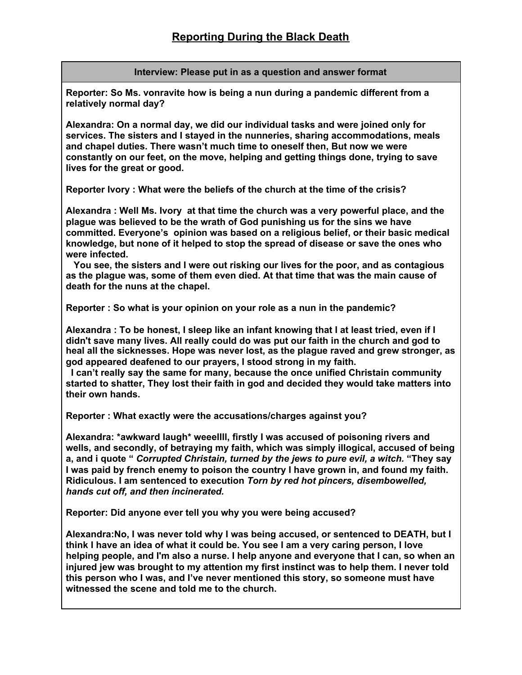## **Interview: Please put in as a question and answer format**

**Reporter: So Ms. vonravite how is being a nun during a pandemic different from a relatively normal day?**

**Alexandra: On a normal day, we did our individual tasks and were joined only for services. The sisters and I stayed in the nunneries, sharing accommodations, meals and chapel duties. There wasn't much time to oneself then, But now we were constantly on our feet, on the move, helping and getting things done, trying to save lives for the great or good.**

**Reporter Ivory : What were the beliefs of the church at the time of the crisis?**

**Alexandra : Well Ms. Ivory at that time the church was a very powerful place, and the plague was believed to be the wrath of God punishing us for the sins we have committed. Everyone's opinion was based on a religious belief, or their basic medical knowledge, but none of it helped to stop the spread of disease or save the ones who were infected.**

**You see, the sisters and I were out risking our lives for the poor, and as contagious as the plague was, some of them even died. At that time that was the main cause of death for the nuns at the chapel.**

**Reporter : So what is your opinion on your role as a nun in the pandemic?**

**Alexandra : To be honest, I sleep like an infant knowing that I at least tried, even if I didn't save many lives. All really could do was put our faith in the church and god to heal all the sicknesses. Hope was never lost, as the plague raved and grew stronger, as god appeared deafened to our prayers, I stood strong in my faith.**

**I can't really say the same for many, because the once unified Christain community started to shatter, They lost their faith in god and decided they would take matters into their own hands.**

**Reporter : What exactly were the accusations/charges against you?**

**Alexandra: \*awkward laugh\* weeellll, firstly I was accused of poisoning rivers and wells, and secondly, of betraying my faith, which was simply illogical, accused of being a, and i quote "** *Corrupted Christain, turned by the jews to pure evil, a witch.* **"They say I was paid by french enemy to poison the country I have grown in, and found my faith. Ridiculous. I am sentenced to execution** *Torn by red hot pincers, disembowelled, hands cut off, and then incinerated.*

**Reporter: Did anyone ever tell you why you were being accused?**

**Alexandra:No, I was never told why I was being accused, or sentenced to DEATH, but I think I have an idea of what it could be. You see I am a very caring person, I love helping people, and I'm also a nurse. I help anyone and everyone that I can, so when an injured jew was brought to my attention my first instinct was to help them. I never told this person who I was, and I've never mentioned this story, so someone must have witnessed the scene and told me to the church.**